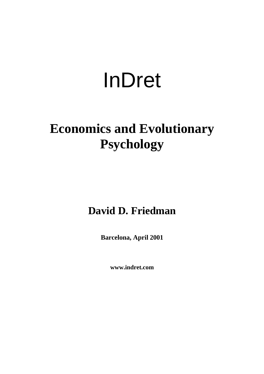# InDret

## **Economics and Evolutionary Psychology**

### **David D. Friedman**

**Barcelona, April 2001**

**www.indret.com**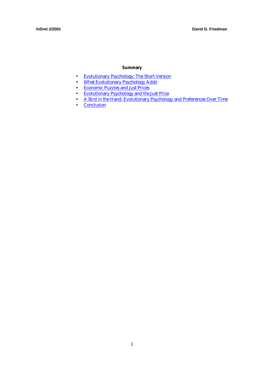#### **Summary**

- Evolutionary Psychology: The Short Version
- What Evolutionary Psychology Adds
- Economic Puzzles and Just Prices
- Evolutionary Psychology and the Just Price
- A Bird in the Hand: Evolutionary Psychology and Preferences Over Time<br>Conclusion
- **Conclusion**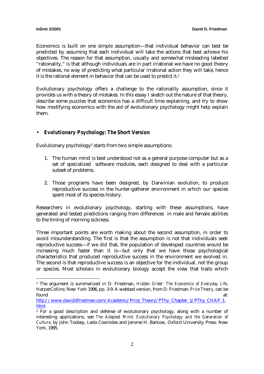Economics is built on one simple assumption—that individual behavior can best be predicted by assuming that each individual will take the actions that best achieve his objectives. The reason for that assumption, usually and somewhat misleading labelled "rationality," is that although individuals are in part irrational we have no good theory of mistakes, no way of predicting what particular irrational action they will take, hence it is the rational element in behavior that can be used to predict it.<sup>1</sup>

Evolutionary psychology offers a challenge to the rationality assumption, since it provides us with a theory of mistakes. In this essay I sketch out the nature of that theory, describe some puzzles that economics has a difficult time explaining, and try to show how modifying economics with the aid of evolutionary psychology might help explain them.

#### • *Evolutionary Psychology: The Short Version*

Evolutionary psychology2 starts from two simple assumptions:

- 1. The human mind is best understood not as a general purpose computer but as a set of specialized software modules, each designed to deal with a particular subset of problems.
- 2. Those programs have been designed, by Darwinian evolution, to produce reproductive success in the hunter-gatherer environment in which our species spent most of its species history.

Researchers in evolutionary psychology, starting with these assumptions, have generated and tested predictions ranging from differences in male and female abilities to the timing of morning sickness.

Three important points are worth making about the second assumption, in order to avoid misunderstanding. The first is that the assumption is not that individuals seek reproductive success—if we did that, the population of developed countries would be increasing much faster than it is—but only that we have those psychological characteristics that produced reproductive success in the environment we evolved in. The second is that reproductive success is an objective for the individual, not the group or species. Most scholars in evolutionary biology accept the view that traits which

<sup>1</sup> The argument is summarized in D. Friedman, *Hidden Order: The Economics of Everyday Life*, HarperCollins: New York 1996, pp. 3-9. A webbed version, from D. Friedman, *Price Theory*, can be found at: the contract of the contract of the contract of the contract of the contract of the contract of the contract of the contract of the contract of the contract of the contract of the contract of the contract of the

http://www.daviddfriedman.com/Academic/Price\_Theory/PThy\_Chapter\_1/PThy\_CHAP\_1. html

<sup>2</sup> For a good description and defense of evolutionary psychology, along with a number of interesting applications, see *The Adapted Mind. Evolutionary Psychology and the Generation of Culture*, by John Toobey, Leda Cosmides and Jerome H. Barkow, Oxford University Press: New York, 1995.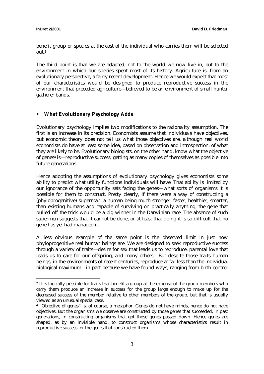benefit group or species at the cost of the individual who carries them will be selected out.<sup>3</sup>

The third point is that we are adapted, not to the world we now live in, but to the environment in which our species spent most of its history. Agriculture is, from an evolutionary perspective, a fairly recent development. Hence we would expect that most of our characteristics would be designed to produce reproductive success in the environment that preceded agriculture—believed to be an environment of small hunter gatherer bands.

#### • *What Evolutionary Psychology Adds*

Evolutionary psychology implies two modifications to the rationality assumption. The first is an increase in its precision. Economists assume that individuals have objectives, but economic theory does not tell us what those objectives are, although real world economists do have at least some idea, based on observation and introspection, of what they are likely to be. Evolutionary biologists, on the other hand, know what the objective of genes4 is—reproductive success, getting as many copies of themselves as possible into future generations.

Hence adopting the assumptions of evolutionary psychology gives economists some ability to predict what utility functions individuals will have. That ability is limited by our ignorance of the opportunity sets facing the genes—what sorts of organisms it is possible for them to construct. Pretty clearly, if there were a way of constructing a (phyloprogenitive) superman, a human being much stronger, faster, healthier, smarter, than existing humans and capable of surviving on practically anything, the gene that pulled off the trick would be a big winner in the Darwinian race. The absence of such supermen suggests that it cannot be done, or at least that doing it is so difficult that no gene has yet had managed it.

A less obvious example of the same point is the observed limit in just how phyloprogenitive real human beings are. We are designed to seek reproductive success through a variety of traits—desire for sex that leads us to reproduce, parental love that leads us to care for our offspring, and many others. But despite those traits human beings, in the environments of recent centuries, reproduce at far less than the individual biological maximum—in part because we have found ways, ranging from birth control

<sup>&</sup>lt;sup>2</sup> It is logically possible for traits that benefit a group at the expense of the group members who carry them produce an increase in success for the group large enough to make up for the decreased success of the member relative to other members of the group, but that is usually viewed as an unusual special case.

<sup>4</sup> "Objective of genes" is, of course, a metaphor. Genes do not have minds, hence do not have objectives. But the organisms we observe are constructed by those genes that succeeded, in past generations, in constructing organisms that got those genes passed down. Hence genes are shaped, as by an invisible hand, to construct organisms whose characteristics result in reproductive success for the genes that constructed them.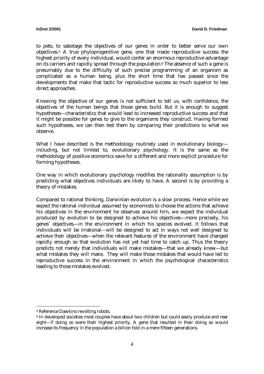to pets, to sabotage the objectives of our genes in order to better serve our own objectives.5 A true phyloprogenitive gene, one that made reproductive success the highest priority of every individual, would confer an enormous reproductive advantage on its carriers and rapidly spread through the population.6 The absence of such a gene is presumably due to the difficulty of such precise programming of an organism as complicated as a human being, plus the short time that has passed since the developments that make that tactic for reproductive success so much superior to less direct approaches.

Knowing the objective of our genes is not sufficient to tell us, with confidence, the objectives of the human beings that those genes build. But it is enough to suggest hypotheses—characteristics that would lead to increased reproductive success and that it might be possible for genes to give to the organisms they construct. Having formed such hypotheses, we can then test them by comparing their predictions to what we observe.

What I have described is the methodology routinely used in evolutionary biology including, but not limited to, evolutionary psychology. It is the same as the methodology of positive economics save for a different and more explicit procedure for forming hypotheses.

One way in which evolutionary psychology modifies the rationality assumption is by predicting what objectives individuals are likely to have. A second is by providing a theory of mistakes.

Compared to rational thinking, Darwinian evolution is a slow process. Hence while we expect the rational individual assumed by economists to choose the actions that achieve his objectives in the environment he observes around him, we expect the individual produced by evolution to be designed to achieve his objectives—more precisely, his genes' objectives—in the environment in which his species evolved. It follows that individuals will be irrational—will be designed to act in ways not well designed to achieve their objectives—when the relevant features of the environment have changed rapidly enough so that evolution has not yet had time to catch up. Thus the theory predicts not merely that individuals will make mistakes—that we already knew—but what mistakes they will make. They will make those mistakes that would have led to reproductive success in the environment in which the psychological characteristics leading to those mistakes evolved.

 $\overline{a}$ 

<sup>5</sup> Reference Dawkins revolting robots.

<sup>&</sup>lt;sup>6</sup> In developed societies most couples have about two children but could easily produce and rear eight—if doing so were their highest priority. A gene that resulted in their doing so would increase its frequency in the population a billion fold in a mere fifteen generations.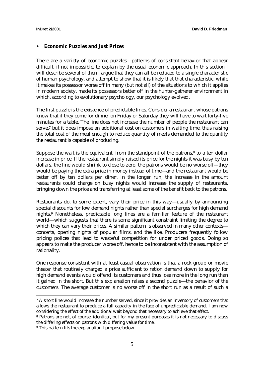#### • *Economic Puzzles and Just Prices*

There are a variety of economic puzzles—patterns of consistent behavior that appear difficult, if not impossible, to explain by the usual economic approach. In this section I will describe several of them, argue that they can all be reduced to a single characteristic of human psychology, and attempt to show that it is likely that that characteristic, while it makes its possessor worse off in many (but not all) of the situations to which it applies in modern society, made its possessors better off in the hunter-gatherer environment in which, according to evolutionary psychology, our psychology evolved.

The first puzzle is the existence of predictable lines. Consider a restaurant whose patrons know that if they come for dinner on Friday or Saturday they will have to wait forty-five minutes for a table. The line does not increase the number of people the restaurant can serve,7 but it does impose an additional cost on customers in waiting time, thus raising the total cost of the meal enough to reduce quantity of meals demanded to the quantity the restaurant is capable of producing.

Suppose the wait is the equivalent, from the standpoint of the patrons, $\delta$  to a ten dollar increase in price. If the restaurant simply raised its price for the nights it was busy by ten dollars, the line would shrink to close to zero, the patrons would be no worse off—they would be paying the extra price in money instead of time—and the restaurant would be better off by ten dollars per diner. In the longer run, the increase in the amount restaurants could charge on busy nights would increase the supply of restaurants, bringing down the price and transferring at least some of the benefit back to the patrons.

Restaurants do, to some extent, vary their price in this way—usually by announcing special discounts for low demand nights rather than special surcharges for high demand nights.9 Nonetheless, predictable long lines are a familiar feature of the restaurant world—which suggests that there is some significant constraint limiting the degree to which they can vary their prices. A similar pattern is observed in many other contexts concerts, opening nights of popular films, and the like. Producers frequently follow pricing polices that lead to wasteful competition for under priced goods. Doing so appears to make the producer worse off, hence to be inconsistent with the assumption of rationality.

One response consistent with at least casual observation is that a rock group or movie theater that routinely charged a price sufficient to ration demand down to supply for high demand events would offend its customers and thus lose more in the long run than it gained in the short. But this explanation raises a second puzzle—the behavior of the customers. The average customer is no worse off in the short run as a result of such a

 $\overline{a}$ 

<sup>&</sup>lt;sup>7</sup> A short line would increase the number served, since it provides an inventory of customers that allows the restaurant to produce a full capacity in the face of unpredictable demand. I am now considering the effect of the additional wait beyond that necessary to achieve that effect.

<sup>8</sup> Patrons are not, of course, identical, but for my present purposes it is not necessary to discuss the differing effects on patrons with differing value for time.

<sup>9</sup> This pattern fits the explanation I propose below.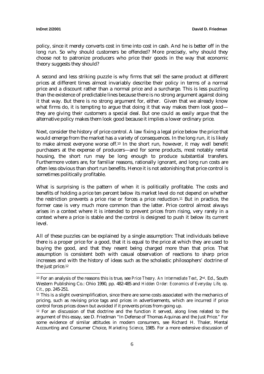policy, since it merely converts cost in time into cost in cash. And he is better off in the long run. So why should customers be offended? More precisely, why should they choose not to patronize producers who price their goods in the way that economic theory suggests they should?

A second and less striking puzzle is why firms that sell the same product at different prices at different times almost invariably describe their policy in terms of a normal price and a discount rather than a normal price and a surcharge. This is less puzzling than the existence of predictable lines because there is no strong argument against doing it that way. But there is no strong argument for, either. Given that we already know what firms do, it is tempting to argue that doing it that way makes them look good they are giving their customers a special deal. But one could as easily argue that the alternative policy makes them look good because it implies a lower ordinary price.

Next, consider the history of price control. A law fixing a legal price below the price that would emerge from the market has a variety of consequences. In the long run, it is likely to make almost everyone worse off.10 In the short run, however, it may well benefit purchasers at the expense of producers—and for some products, most notably rental housing, the short run may be long enough to produce substantial transfers. Furthermore voters are, for familiar reasons, rationally ignorant, and long run costs are often less obvious than short run benefits. Hence it is not astonishing that price control is sometimes politically profitable.

What is surprising is the pattern of when it is politically profitable. The costs and benefits of holding a price ten percent below its market level do not depend on whether the restriction prevents a price rise or forces a price reduction.11 But in practice, the former case is very much more common than the latter. Price control almost always arises in a context where it is intended to prevent prices from rising, very rarely in a context where a price is stable and the control is designed to push it below its current level.

All of these puzzles can be explained by a single assumption: That individuals believe there is a proper price for a good, that it is equal to the price at which they are used to buying the good, and that they resent being charged more than that price. That assumption is consistent both with casual observation of reactions to sharp price increases and with the history of ideas such as the scholastic philosophers' doctrine of the just price.<sup>12</sup>

<sup>10</sup> For an analysis of the reasons this is true, see *Price Theory. An Intermediate Text*, 2nd. Ed., South Western Publishing Co.: Ohio 1990, pp. 482-485 and *Hidden Order: Economics of Everyday Life, op. Cit.,* pp. 245-251.

<sup>&</sup>lt;sup>11</sup> This is a slight oversimplification, since there are some costs associated with the mechanics of pricing, such as revising price tags and prices in advertisements, which are incurred if price control forces prices down but avoided if it prevents prices from going up.

<sup>12</sup> For an discussion of that doctrine and the function it served, along lines related to the argument of this essay, see D. Friedman "In Defense of Thomas Aquinas and the Just Price." For some evidence of similar attitudes in modern consumers, see Richard H. Thaler, Mental Accounting and Consumer Choice, *Marketing Science*, 1985. For a more extensive discussion of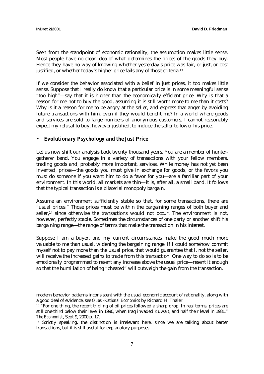Seen from the standpoint of economic rationality, the assumption makes little sense. Most people have no clear idea of what determines the prices of the goods they buy. Hence they have no way of knowing whether yesterday's price was fair, or just, or cost justified, or whether today's higher price fails any of those criteria.<sup>13</sup>

If we consider the behavior associated with a belief in just prices, it too makes little sense. Suppose that I really do know that a particular price is in some meaningful sense "too high"—say that it is higher than the economically efficient price. Why is that a reason for me not to buy the good, assuming it is still worth more to me than it costs? Why is it a reason for me to be angry at the seller, and express that anger by avoiding future transactions with him, even if they would benefit me? In a world where goods and services are sold to large numbers of anonymous customers, I cannot reasonably expect my refusal to buy, however justified, to induce the seller to lower his price.

#### • *Evolutionary Psychology and the Just Price*

Let us now shift our analysis back twenty thousand years. You are a member of huntergatherer band. You engage in a variety of transactions with your fellow members, trading goods and, probably more important, services. While money has not yet been invented, prices—the goods you must give in exchange for goods, or the favors you must do someone if you want him to do a favor for you—are a familiar part of your environment. In this world, all markets are thin—it is, after all, a small band. It follows that the typical transaction is a bilaterial monopoly bargain.

Assume an environment sufficiently stable so that, for some transactions, there are "usual prices." Those prices must be within the bargaining ranges of both buyer and seller,<sup>14</sup> since otherwise the transactions would not occur. The environment is not, however, perfectly stable. Sometimes the circumstances of one party or another shift his bargaining range—the range of terms that make the transaction in his interest.

Suppose I am a buyer, and my current circumstances make the good much more valuable to me than usual, widening the bargaining range. If I could somehow commit myself not to pay more than the usual price, that would guarantee that I, not the seller, will receive the increased gains to trade from this transaction. One way to do so is to be emotionally programmed to resent any increase above the usual price—resent it enough so that the humiliation of being "cheated" will outweigh the gain from the transaction.

modern behavior patterns inconsistent with the usual economic account of rationality, along with a good deal of evidence, see *Quasi-Rational Economics* by Richard H. Thaler.

<sup>&</sup>lt;sup>13</sup> "For one thing, the recent tripling of oil prices followed a sharp drop. In real terms, prices are still one-third below their level in 1990, when Iraq invaded Kuwait, and half their level in 1981." *The Economist*, Sept 9, 2000 p. 17,

<sup>&</sup>lt;sup>14</sup> Strictly speaking, the distinction is irrelevant here, since we are talking about barter transactions, but it is still useful for explanatory purposes.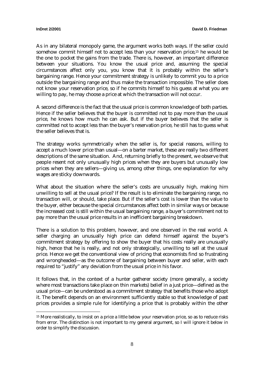As in any bilateral monopoly game, the argument works both ways. If the seller could somehow commit himself not to accept less than your reservation price,15 he would be the one to pocket the gains from the trade. There is, however, an important difference between your situations. You know the usual price and, assuming the special circumstances affect only you, you know that it is probably within the seller's bargaining range. Hence your commitment strategy is unlikely to commit you to a price outside the bargaining range and thus make the transaction impossible. The seller does not know your reservation price, so if he commits himself to his guess at what you are willing to pay, he may choose a price at which the transaction will not occur.

A second difference is the fact that the usual price is common knowledge of both parties. Hence if the seller believes that the buyer is committed not to pay more than the usual price, he knows how much he can ask. But if the buyer believes that the seller is committed not to accept less than the buyer's reservation price, he still has to guess what the seller believes that is.

The strategy works symmetrically when the seller is, for special reasons, willing to accept a much lower price than usual—on a barter market, these are really two different descriptions of the same situation. And, returning briefly to the present, we observe that people resent not only unusually high prices when they are buyers but unusually low prices when they are sellers—giving us, among other things, one explanation for why wages are sticky downwards.

What about the situation where the seller's costs are unusually high, making him unwilling to sell at the usual price? If the result is to eliminate the bargaining range, no transaction will, or should, take place. But if the seller's cost is lower than the value to the buyer, either because the special circumstances affect both in similar ways or because the increased cost is still within the usual bargaining range, a buyer's commitment not to pay more than the usual price results in an inefficient bargaining breakdown.

There is a solution to this problem, however, and one observed in the real world. A seller charging an unusually high price can defend himself against the buyer's commitment strategy by offering to show the buyer that his costs really are unusually high, hence that he is really, and not only strategically, unwilling to sell at the usual price. Hence we get the conventional view of pricing that economists find so frustrating and wrongheaded—as the outcome of bargaining between buyer and seller, with each required to "justify" any deviation from the usual price in his favor.

It follows that, in the context of a hunter gatherer society (more generally, a society where most transactions take place on thin markets) belief in a just price—defined as the usual price—can be understood as a commitment strategy that benefits those who adopt it. The benefit depends on an environment sufficiently stable so that knowledge of past prices provides a simple rule for identifying a price that is probably within the other

<sup>15</sup> More realistically, to insist on a price a little below your reservation price, so as to reduce risks from error. The distinction is not important to my general argument, so I will ignore it below in order to simplify the discussion.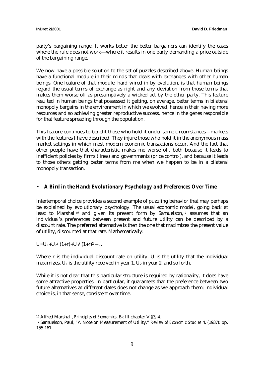party's bargaining range. It works better the better bargainers can identify the cases where the rule does not work—where it results in one party demanding a price outside of the bargaining range.

We now have a possible solution to the set of puzzles described above. Human beings have a functional module in their minds that deals with exchanges with other human beings. One feature of that module, hard wired in by evolution, is that human beings regard the usual terms of exchange as right and any deviation from those terms that makes them worse off as presumptively a wicked act by the other party. This feature resulted in human beings that possessed it getting, on average, better terms in bilateral monopoly bargains in the environment in which we evolved, hence in their having more resources and so achieving greater reproductive success, hence in the genes responsible for that feature spreading through the population.

This feature continues to benefit those who hold it under some circumstances—markets with the features I have described. They injure those who hold it in the anonymous mass market settings in which most modern economic transactions occur. And the fact that other people have that characteristic makes me worse off, both because it leads to inefficient policies by firms (lines) and governments (price control), and because it leads to those others getting better terms from me when we happen to be in a bilateral monopoly transaction.

#### • *A Bird in the Hand: Evolutionary Psychology and Preferences Over Time*

Intertemporal choice provides a second example of puzzling behavior that may perhaps be explained by evolutionary psychology. The usual economic model, going back at least to Marshall<sup>16</sup> and given its present form by Samuelson,<sup>17</sup> assumes that an individual's preferences between present and future utility can be described by a discount rate. The preferred alternative is then the one that maximizes the present value of utility, discounted at that rate. Mathematically:

 $U=U_1+U_2/(1+r)+U_3/(1+r)^2+...$ 

 $\overline{a}$ 

Where r is the individual discount rate on utility, U is the utility that the individual maximizes,  $U_1$  is the utility received in year 1,  $U_2$  in year 2, and so forth.

While it is not clear that this particular structure is required by rationality, it does have some attractive properties. In particular, it guarantees that the preference between two future alternatives at different dates does not change as we approach them; individual choice is, in that sense, consistent over time.

<sup>16</sup> Alfred Marshall, *Principles of Economics*, Bk III chapter V §3, 4.

<sup>17</sup> Samuelson, Paul, "A Note on Measurement of Utility," *Review of Economic Studies* 4, (1937): pp. 155-161.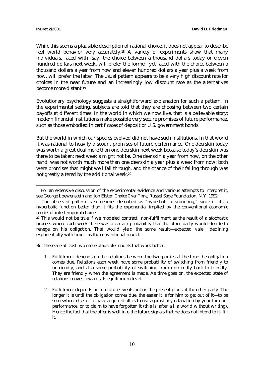While this seems a plausible description of rational choice, it does not appear to describe real world behavior very accurately.18 A variety of experiments show that many individuals, faced with (say) the choice between a thousand dollars today or eleven hundred dollars next week, will prefer the former, yet faced with the choice between a thousand dollars a year from now and eleven hundred dollars a year plus a week from now, will prefer the latter. The usual pattern appears to be a very high discount rate for choices in the near future and an increasingly low discount rate as the alternatives become more distant.<sup>19</sup>

Evolutionary psychology suggests a straightforward explanation for such a pattern. In the experimental setting, subjects are told that they are choosing between two certain payoffs at different times. In the world in which we now live, that is a believable story; modern financial institutions make possible very secure promises of future performance, such as those embodied in certificates of deposit or U.S. government bonds.

But the world in which our species evolved did not have such institutions. In that world it was rational to heavily discount promises of future performance. One deerskin today was worth a great deal more than one deerskin next week because today's deerskin was there to be taken; next week's might not be. One deerskin a year from now, on the other hand, was not worth much more than one deerskin a year plus a week from now; both were promises that might well fall through, and the chance of their falling through was not greatly altered by the additional week.<sup>20</sup>

But there are at least two more plausible models that work better:

- 1. Fulfillment depends on the relations between the two parties at the time the obligation comes due. Relations each week have some probability of switching from friendly to unfriendly, and also some probability of switching from unfriendly back to friendly. They are friendly when the agreement is made. As time goes on, the expected state of relations moves towards its equilibrium level.
- 2. Fulfillment depends not on future events but on the present plans of the other party. The longer it is until the obligation comes due, the easier it is for him to get out of it—to be somewhere else, or to have acquired allies to use against any retaliation by your for nonperformance, or to claim to have forgotten it (this is, after all, a world without writing). Hence the fact that the offer is well into the future signals that he does not intend to fulfill it.

<sup>18</sup> For an extensive discussion of the experimental evidence and various attempts to interpret it, see George Loewenstein and Jon Elster, *Choice Over Time*, Russel Sage Foundation, N.Y. 1992.

<sup>19</sup> The observed pattern is sometimes described as "hyperbolic discounting," since it fits a hyperbolic function better than it fits the exponential implied by the conventional economic model of intertemporal choice.

<sup>&</sup>lt;sup>20</sup> This would not be true if we modeled contract non-fulfillment as the result of a stochastic process where each week there was a certain probability that the other party would decide to renege on his obligation. That would yield the same result—expected vale declining exponentially with time—as the conventional model.